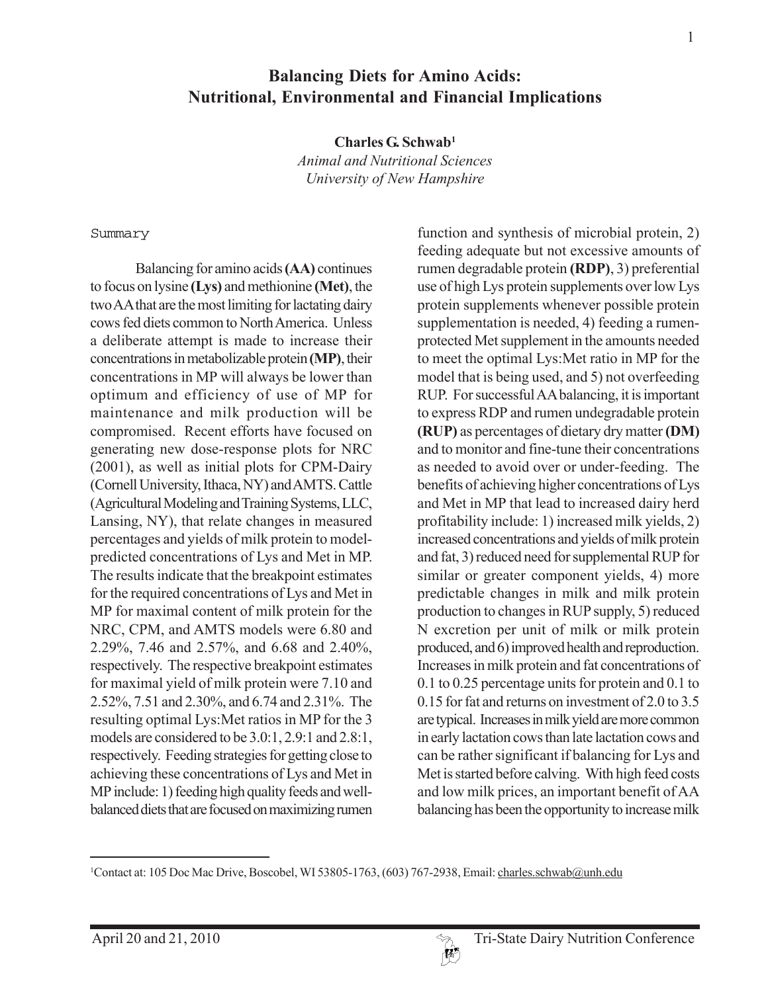**Charles G. Schwab1**

*Animal and Nutritional Sciences University of New Hampshire*

#### Summary

Balancing for amino acids **(AA)** continues to focus on lysine **(Lys)** and methionine **(Met)**, the two AA that are the most limiting for lactating dairy cows fed diets common to North America. Unless a deliberate attempt is made to increase their concentrations in metabolizable protein **(MP)**, their concentrations in MP will always be lower than optimum and efficiency of use of MP for maintenance and milk production will be compromised. Recent efforts have focused on generating new dose-response plots for NRC (2001), as well as initial plots for CPM-Dairy (Cornell University, Ithaca, NY) and AMTS. Cattle (Agricultural Modeling and Training Systems, LLC, Lansing, NY), that relate changes in measured percentages and yields of milk protein to modelpredicted concentrations of Lys and Met in MP. The results indicate that the breakpoint estimates for the required concentrations of Lys and Met in MP for maximal content of milk protein for the NRC, CPM, and AMTS models were 6.80 and 2.29%, 7.46 and 2.57%, and 6.68 and 2.40%, respectively. The respective breakpoint estimates for maximal yield of milk protein were 7.10 and 2.52%, 7.51 and 2.30%, and 6.74 and 2.31%. The resulting optimal Lys:Met ratios in MP for the 3 models are considered to be 3.0:1, 2.9:1 and 2.8:1, respectively. Feeding strategies for getting close to achieving these concentrations of Lys and Met in MP include: 1) feeding high quality feeds and wellbalanced diets that are focused on maximizing rumen function and synthesis of microbial protein, 2) feeding adequate but not excessive amounts of rumen degradable protein **(RDP)**, 3) preferential use of high Lys protein supplements over low Lys protein supplements whenever possible protein supplementation is needed, 4) feeding a rumenprotected Met supplement in the amounts needed to meet the optimal Lys:Met ratio in MP for the model that is being used, and 5) not overfeeding RUP. For successful AA balancing, it is important to express RDP and rumen undegradable protein **(RUP)** as percentages of dietary dry matter **(DM)** and to monitor and fine-tune their concentrations as needed to avoid over or under-feeding. The benefits of achieving higher concentrations of Lys and Met in MP that lead to increased dairy herd profitability include: 1) increased milk yields, 2) increased concentrations and yields of milk protein and fat, 3) reduced need for supplemental RUP for similar or greater component yields, 4) more predictable changes in milk and milk protein production to changes in RUP supply, 5) reduced N excretion per unit of milk or milk protein produced, and 6) improved health and reproduction. Increases in milk protein and fat concentrations of 0.1 to 0.25 percentage units for protein and 0.1 to 0.15 for fat and returns on investment of 2.0 to 3.5 are typical. Increases in milk yield are more common in early lactation cows than late lactation cows and can be rather significant if balancing for Lys and Met is started before calving. With high feed costs and low milk prices, an important benefit of AA balancing has been the opportunity to increase milk



<sup>&</sup>lt;sup>1</sup>Contact at: 105 Doc Mac Drive, Boscobel, WI 53805-1763, (603) 767-2938, Email: charles.schwab@unh.edu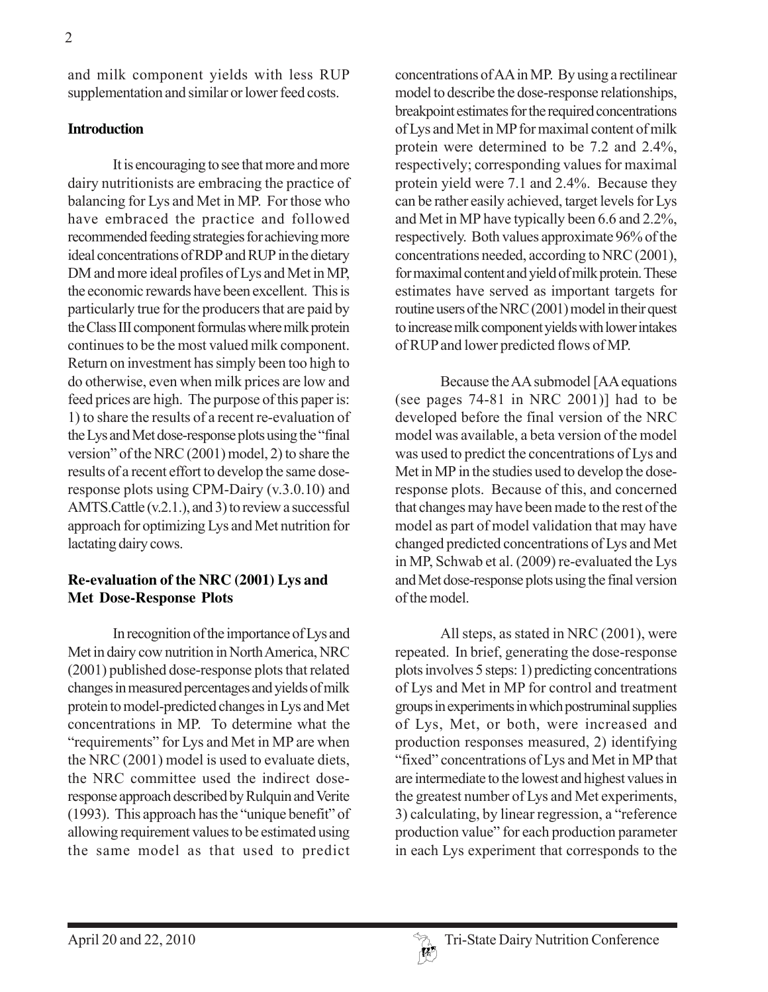and milk component yields with less RUP supplementation and similar or lower feed costs.

#### **Introduction**

It is encouraging to see that more and more dairy nutritionists are embracing the practice of balancing for Lys and Met in MP. For those who have embraced the practice and followed recommended feeding strategies for achieving more ideal concentrations of RDP and RUP in the dietary DM and more ideal profiles of Lys and Met in MP, the economic rewards have been excellent. This is particularly true for the producers that are paid by the Class III component formulas where milk protein continues to be the most valued milk component. Return on investment has simply been too high to do otherwise, even when milk prices are low and feed prices are high. The purpose of this paper is: 1) to share the results of a recent re-evaluation of the Lys and Met dose-response plots using the "final version" of the NRC (2001) model, 2) to share the results of a recent effort to develop the same doseresponse plots using CPM-Dairy (v.3.0.10) and AMTS.Cattle (v.2.1.), and 3) to review a successful approach for optimizing Lys and Met nutrition for lactating dairy cows.

## **Re-evaluation of the NRC (2001) Lys and Met Dose-Response Plots**

In recognition of the importance of Lys and Met in dairy cow nutrition in North America, NRC (2001) published dose-response plots that related changes in measured percentages and yields of milk protein to model-predicted changes in Lys and Met concentrations in MP. To determine what the "requirements" for Lys and Met in MP are when the NRC (2001) model is used to evaluate diets, the NRC committee used the indirect doseresponse approach described by Rulquin and Verite (1993). This approach has the "unique benefit" of allowing requirement values to be estimated using the same model as that used to predict

concentrations of AA in MP. By using a rectilinear model to describe the dose-response relationships, breakpoint estimates for the required concentrations of Lys and Met in MP for maximal content of milk protein were determined to be 7.2 and 2.4%, respectively; corresponding values for maximal protein yield were 7.1 and 2.4%. Because they can be rather easily achieved, target levels for Lys and Met in MP have typically been 6.6 and 2.2%, respectively. Both values approximate 96% of the concentrations needed, according to NRC (2001), for maximal content and yield of milk protein. These estimates have served as important targets for routine users of the NRC (2001) model in their quest to increase milk component yields with lower intakes of RUP and lower predicted flows of MP.

Because the AA submodel [AA equations (see pages 74-81 in NRC 2001)] had to be developed before the final version of the NRC model was available, a beta version of the model was used to predict the concentrations of Lys and Met in MP in the studies used to develop the doseresponse plots. Because of this, and concerned that changes may have been made to the rest of the model as part of model validation that may have changed predicted concentrations of Lys and Met in MP, Schwab et al. (2009) re-evaluated the Lys and Met dose-response plots using the final version of the model.

All steps, as stated in NRC (2001), were repeated. In brief, generating the dose-response plots involves 5 steps: 1) predicting concentrations of Lys and Met in MP for control and treatment groups in experiments in which postruminal supplies of Lys, Met, or both, were increased and production responses measured, 2) identifying "fixed" concentrations of Lys and Met in MP that are intermediate to the lowest and highest values in the greatest number of Lys and Met experiments, 3) calculating, by linear regression, a "reference production value" for each production parameter in each Lys experiment that corresponds to the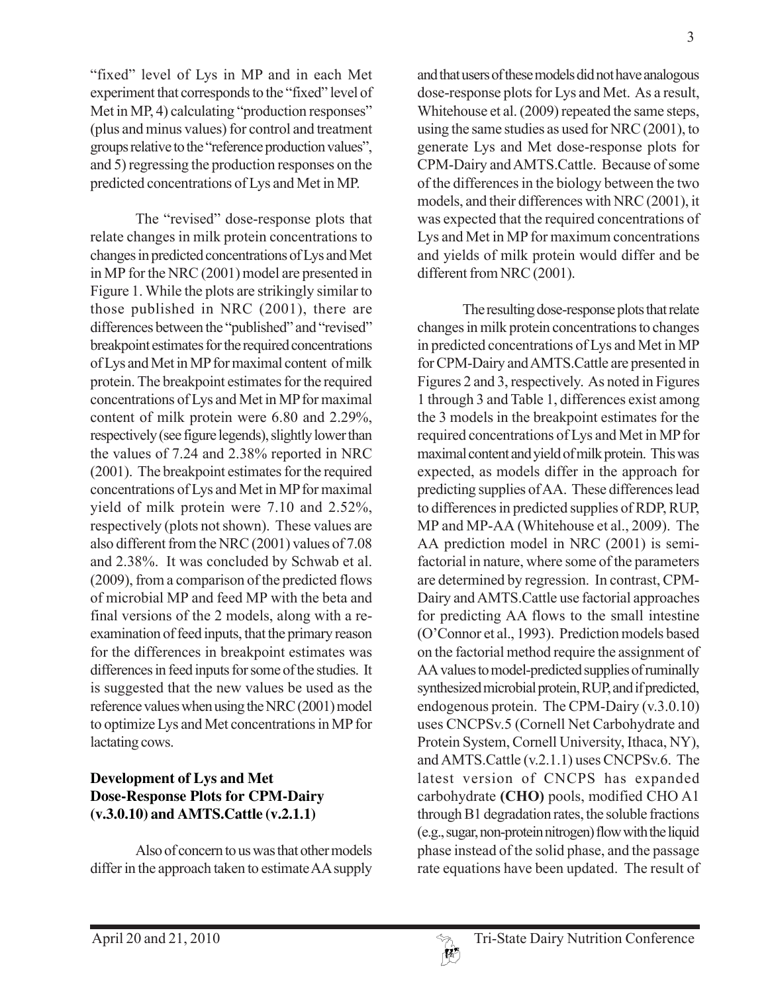"fixed" level of Lys in MP and in each Met experiment that corresponds to the "fixed" level of Met in MP, 4) calculating "production responses" (plus and minus values) for control and treatment groups relative to the "reference production values", and 5) regressing the production responses on the predicted concentrations of Lys and Met in MP.

The "revised" dose-response plots that relate changes in milk protein concentrations to changes in predicted concentrations of Lys and Met in MP for the NRC (2001) model are presented in Figure 1. While the plots are strikingly similar to those published in NRC (2001), there are differences between the "published" and "revised" breakpoint estimates for the required concentrations of Lys and Met in MP for maximal content of milk protein. The breakpoint estimates for the required concentrations of Lys and Met in MP for maximal content of milk protein were 6.80 and 2.29%, respectively (see figure legends), slightly lower than the values of 7.24 and 2.38% reported in NRC (2001). The breakpoint estimates for the required concentrations of Lys and Met in MP for maximal yield of milk protein were 7.10 and 2.52%, respectively (plots not shown). These values are also different from the NRC (2001) values of 7.08 and 2.38%. It was concluded by Schwab et al. (2009), from a comparison of the predicted flows of microbial MP and feed MP with the beta and final versions of the 2 models, along with a reexamination of feed inputs, that the primary reason for the differences in breakpoint estimates was differences in feed inputs for some of the studies. It is suggested that the new values be used as the reference values when using the NRC (2001) model to optimize Lys and Met concentrations in MP for lactating cows.

# **Development of Lys and Met Dose-Response Plots for CPM-Dairy (v.3.0.10) and AMTS.Cattle (v.2.1.1)**

Also of concern to us was that other models differ in the approach taken to estimate AA supply and that users of these models did not have analogous dose-response plots for Lys and Met. As a result, Whitehouse et al. (2009) repeated the same steps, using the same studies as used for NRC (2001), to generate Lys and Met dose-response plots for CPM-Dairy and AMTS.Cattle. Because of some of the differences in the biology between the two models, and their differences with NRC (2001), it was expected that the required concentrations of Lys and Met in MP for maximum concentrations and yields of milk protein would differ and be different from NRC (2001).

The resulting dose-response plots that relate changes in milk protein concentrations to changes in predicted concentrations of Lys and Met in MP for CPM-Dairy and AMTS.Cattle are presented in Figures 2 and 3, respectively. As noted in Figures 1 through 3 and Table 1, differences exist among the 3 models in the breakpoint estimates for the required concentrations of Lys and Met in MP for maximal content and yield of milk protein. This was expected, as models differ in the approach for predicting supplies of AA. These differences lead to differences in predicted supplies of RDP, RUP, MP and MP-AA (Whitehouse et al., 2009). The AA prediction model in NRC (2001) is semifactorial in nature, where some of the parameters are determined by regression. In contrast, CPM-Dairy and AMTS.Cattle use factorial approaches for predicting AA flows to the small intestine (O'Connor et al., 1993). Prediction models based on the factorial method require the assignment of AA values to model-predicted supplies of ruminally synthesized microbial protein, RUP, and if predicted, endogenous protein. The CPM-Dairy (v.3.0.10) uses CNCPSv.5 (Cornell Net Carbohydrate and Protein System, Cornell University, Ithaca, NY), and AMTS.Cattle (v.2.1.1) uses CNCPSv.6. The latest version of CNCPS has expanded carbohydrate **(CHO)** pools, modified CHO A1 through B1 degradation rates, the soluble fractions (e.g., sugar, non-protein nitrogen) flow with the liquid phase instead of the solid phase, and the passage rate equations have been updated. The result of

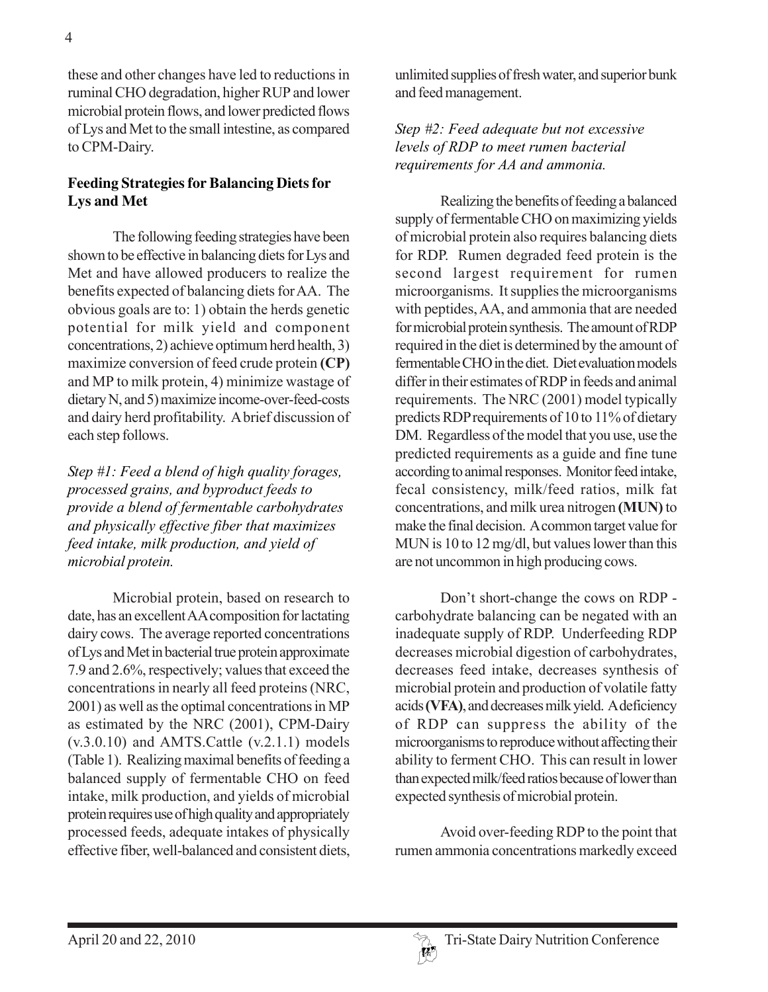these and other changes have led to reductions in ruminal CHO degradation, higher RUP and lower microbial protein flows, and lower predicted flows of Lys and Met to the small intestine, as compared to CPM-Dairy.

## **Feeding Strategies for Balancing Diets for Lys and Met**

The following feeding strategies have been shown to be effective in balancing diets for Lys and Met and have allowed producers to realize the benefits expected of balancing diets for AA. The obvious goals are to: 1) obtain the herds genetic potential for milk yield and component concentrations, 2) achieve optimum herd health, 3) maximize conversion of feed crude protein **(CP)** and MP to milk protein, 4) minimize wastage of dietary N, and 5) maximize income-over-feed-costs and dairy herd profitability. A brief discussion of each step follows.

*Step #1: Feed a blend of high quality forages, processed grains, and byproduct feeds to provide a blend of fermentable carbohydrates and physically effective fiber that maximizes feed intake, milk production, and yield of microbial protein.*

Microbial protein, based on research to date, has an excellent AA composition for lactating dairy cows. The average reported concentrations of Lys and Met in bacterial true protein approximate 7.9 and 2.6%, respectively; values that exceed the concentrations in nearly all feed proteins (NRC, 2001) as well as the optimal concentrations in MP as estimated by the NRC (2001), CPM-Dairy  $(v.3.0.10)$  and AMTS. Cattle  $(v.2.1.1)$  models (Table 1). Realizing maximal benefits of feeding a balanced supply of fermentable CHO on feed intake, milk production, and yields of microbial protein requires use of high quality and appropriately processed feeds, adequate intakes of physically effective fiber, well-balanced and consistent diets,

unlimited supplies of fresh water, and superior bunk and feed management.

## *Step #2: Feed adequate but not excessive levels of RDP to meet rumen bacterial requirements for AA and ammonia.*

Realizing the benefits of feeding a balanced supply of fermentable CHO on maximizing yields of microbial protein also requires balancing diets for RDP. Rumen degraded feed protein is the second largest requirement for rumen microorganisms. It supplies the microorganisms with peptides, AA, and ammonia that are needed for microbial protein synthesis. The amount of RDP required in the diet is determined by the amount of fermentable CHO in the diet. Diet evaluation models differ in their estimates of RDP in feeds and animal requirements. The NRC (2001) model typically predicts RDP requirements of 10 to 11% of dietary DM. Regardless of the model that you use, use the predicted requirements as a guide and fine tune according to animal responses. Monitor feed intake, fecal consistency, milk/feed ratios, milk fat concentrations, and milk urea nitrogen **(MUN)** to make the final decision. A common target value for MUN is 10 to 12 mg/dl, but values lower than this are not uncommon in high producing cows.

Don't short-change the cows on RDP carbohydrate balancing can be negated with an inadequate supply of RDP. Underfeeding RDP decreases microbial digestion of carbohydrates, decreases feed intake, decreases synthesis of microbial protein and production of volatile fatty acids **(VFA)**, and decreases milk yield. A deficiency of RDP can suppress the ability of the microorganisms to reproduce without affecting their ability to ferment CHO. This can result in lower than expected milk/feed ratios because of lower than expected synthesis of microbial protein.

Avoid over-feeding RDP to the point that rumen ammonia concentrations markedly exceed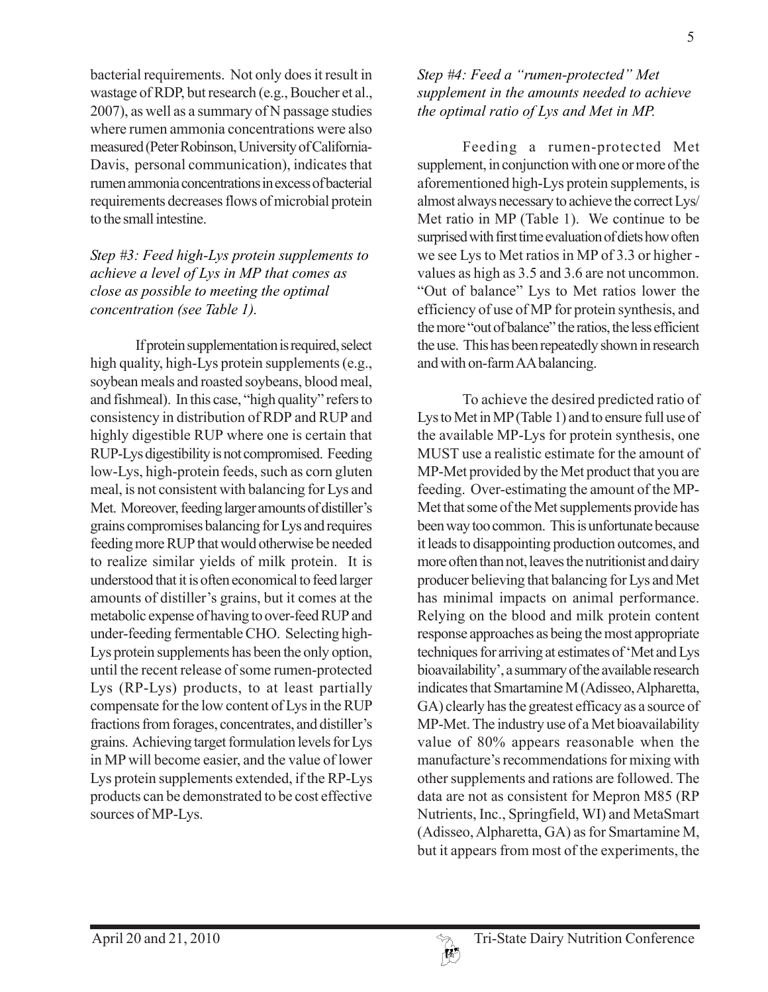bacterial requirements. Not only does it result in wastage of RDP, but research (e.g., Boucher et al., 2007), as well as a summary of N passage studies where rumen ammonia concentrations were also measured (Peter Robinson, University of California-Davis, personal communication), indicates that rumen ammonia concentrations in excess of bacterial requirements decreases flows of microbial protein to the small intestine.

#### *Step #3: Feed high-Lys protein supplements to achieve a level of Lys in MP that comes as close as possible to meeting the optimal concentration (see Table 1).*

If protein supplementation is required, select high quality, high-Lys protein supplements (e.g., soybean meals and roasted soybeans, blood meal, and fishmeal). In this case, "high quality" refers to consistency in distribution of RDP and RUP and highly digestible RUP where one is certain that RUP-Lys digestibility is not compromised. Feeding low-Lys, high-protein feeds, such as corn gluten meal, is not consistent with balancing for Lys and Met. Moreover, feeding larger amounts of distiller's grains compromises balancing for Lys and requires feeding more RUP that would otherwise be needed to realize similar yields of milk protein. It is understood that it is often economical to feed larger amounts of distiller's grains, but it comes at the metabolic expense of having to over-feed RUP and under-feeding fermentable CHO. Selecting high-Lys protein supplements has been the only option, until the recent release of some rumen-protected Lys (RP-Lys) products, to at least partially compensate for the low content of Lys in the RUP fractions from forages, concentrates, and distiller's grains. Achieving target formulation levels for Lys in MP will become easier, and the value of lower Lys protein supplements extended, if the RP-Lys products can be demonstrated to be cost effective sources of MP-Lys.

## *Step #4: Feed a "rumen-protected" Met supplement in the amounts needed to achieve the optimal ratio of Lys and Met in MP.*

Feeding a rumen-protected Met supplement, in conjunction with one or more of the aforementioned high-Lys protein supplements, is almost always necessary to achieve the correct Lys/ Met ratio in MP (Table 1). We continue to be surprised with first time evaluation of diets how often we see Lys to Met ratios in MP of 3.3 or higher values as high as 3.5 and 3.6 are not uncommon. "Out of balance" Lys to Met ratios lower the efficiency of use of MP for protein synthesis, and the more "out of balance" the ratios, the less efficient the use. This has been repeatedly shown in research and with on-farm AA balancing.

To achieve the desired predicted ratio of Lys to Met in MP (Table 1) and to ensure full use of the available MP-Lys for protein synthesis, one MUST use a realistic estimate for the amount of MP-Met provided by the Met product that you are feeding. Over-estimating the amount of the MP-Met that some of the Met supplements provide has been way too common. This is unfortunate because it leads to disappointing production outcomes, and more often than not, leaves the nutritionist and dairy producer believing that balancing for Lys and Met has minimal impacts on animal performance. Relying on the blood and milk protein content response approaches as being the most appropriate techniques for arriving at estimates of 'Met and Lys bioavailability', a summary of the available research indicates that Smartamine M (Adisseo, Alpharetta, GA) clearly has the greatest efficacy as a source of MP-Met. The industry use of a Met bioavailability value of 80% appears reasonable when the manufacture's recommendations for mixing with other supplements and rations are followed. The data are not as consistent for Mepron M85 (RP Nutrients, Inc., Springfield, WI) and MetaSmart (Adisseo, Alpharetta, GA) as for Smartamine M, but it appears from most of the experiments, the

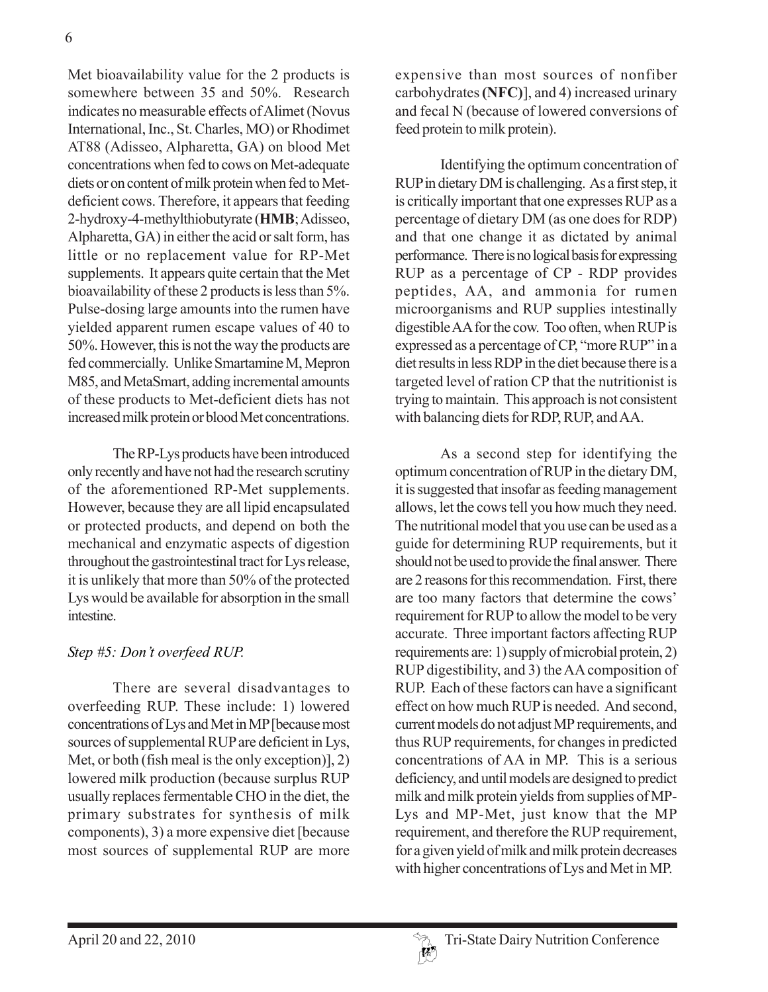Met bioavailability value for the 2 products is somewhere between 35 and 50%. Research indicates no measurable effects of Alimet (Novus International, Inc., St. Charles, MO) or Rhodimet AT88 (Adisseo, Alpharetta, GA) on blood Met concentrations when fed to cows on Met-adequate diets or on content of milk protein when fed to Metdeficient cows. Therefore, it appears that feeding 2-hydroxy-4-methylthiobutyrate (**HMB**; Adisseo, Alpharetta, GA) in either the acid or salt form, has little or no replacement value for RP-Met supplements. It appears quite certain that the Met bioavailability of these 2 products is less than 5%. Pulse-dosing large amounts into the rumen have yielded apparent rumen escape values of 40 to 50%. However, this is not the way the products are fed commercially. Unlike Smartamine M, Mepron M85, and MetaSmart, adding incremental amounts of these products to Met-deficient diets has not increased milk protein or blood Met concentrations.

The RP-Lys products have been introduced only recently and have not had the research scrutiny of the aforementioned RP-Met supplements. However, because they are all lipid encapsulated or protected products, and depend on both the mechanical and enzymatic aspects of digestion throughout the gastrointestinal tract for Lys release, it is unlikely that more than 50% of the protected Lys would be available for absorption in the small intestine.

#### *Step #5: Don't overfeed RUP.*

There are several disadvantages to overfeeding RUP. These include: 1) lowered concentrations of Lys and Met in MP [because most sources of supplemental RUP are deficient in Lys, Met, or both (fish meal is the only exception)], 2) lowered milk production (because surplus RUP usually replaces fermentable CHO in the diet, the primary substrates for synthesis of milk components), 3) a more expensive diet [because most sources of supplemental RUP are more

expensive than most sources of nonfiber carbohydrates **(NFC)**], and 4) increased urinary and fecal N (because of lowered conversions of feed protein to milk protein).

Identifying the optimum concentration of RUP in dietary DM is challenging. As a first step, it is critically important that one expresses RUP as a percentage of dietary DM (as one does for RDP) and that one change it as dictated by animal performance. There is no logical basis for expressing RUP as a percentage of CP - RDP provides peptides, AA, and ammonia for rumen microorganisms and RUP supplies intestinally digestible AA for the cow. Too often, when RUP is expressed as a percentage of CP, "more RUP" in a diet results in less RDP in the diet because there is a targeted level of ration CP that the nutritionist is trying to maintain. This approach is not consistent with balancing diets for RDP, RUP, and AA.

As a second step for identifying the optimum concentration of RUP in the dietary DM, it is suggested that insofar as feeding management allows, let the cows tell you how much they need. The nutritional model that you use can be used as a guide for determining RUP requirements, but it should not be used to provide the final answer. There are 2 reasons for this recommendation. First, there are too many factors that determine the cows' requirement for RUP to allow the model to be very accurate. Three important factors affecting RUP requirements are: 1) supply of microbial protein, 2) RUP digestibility, and 3) the AA composition of RUP. Each of these factors can have a significant effect on how much RUP is needed. And second, current models do not adjust MP requirements, and thus RUP requirements, for changes in predicted concentrations of AA in MP. This is a serious deficiency, and until models are designed to predict milk and milk protein yields from supplies of MP-Lys and MP-Met, just know that the MP requirement, and therefore the RUP requirement, for a given yield of milk and milk protein decreases with higher concentrations of Lys and Met in MP.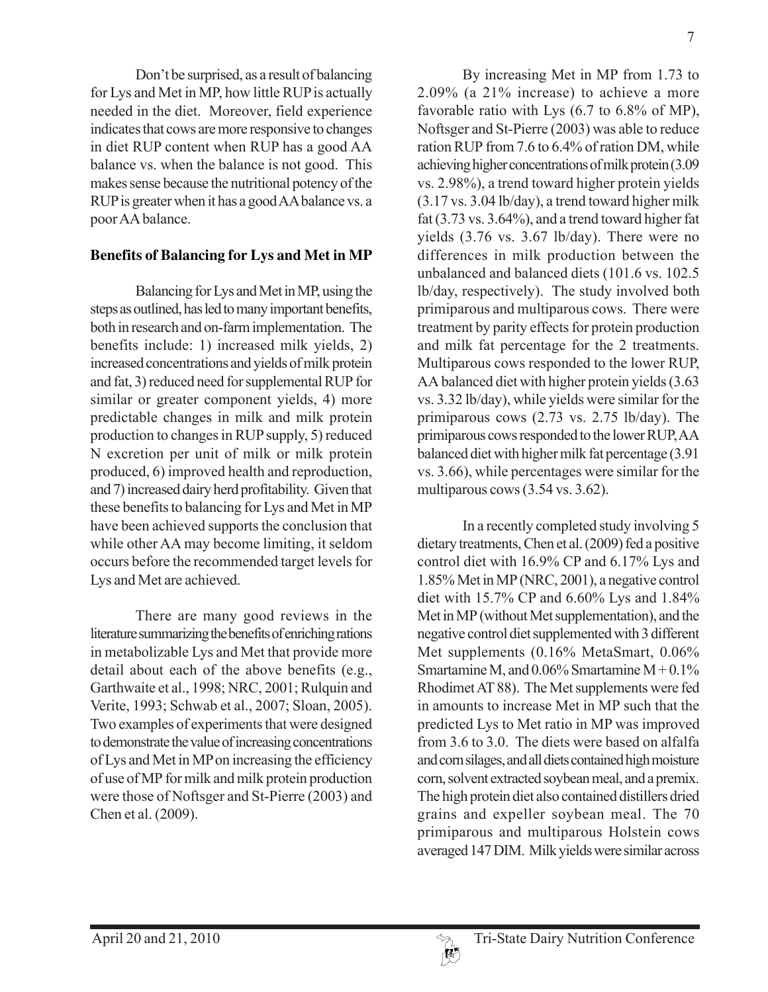Don't be surprised, as a result of balancing for Lys and Met in MP, how little RUP is actually needed in the diet. Moreover, field experience indicates that cows are more responsive to changes in diet RUP content when RUP has a good AA balance vs. when the balance is not good. This makes sense because the nutritional potency of the RUP is greater when it has a good AA balance vs. a poor AA balance.

## **Benefits of Balancing for Lys and Met in MP**

Balancing for Lys and Met in MP, using the steps as outlined, has led to many important benefits, both in research and on-farm implementation. The benefits include: 1) increased milk yields, 2) increased concentrations and yields of milk protein and fat, 3) reduced need for supplemental RUP for similar or greater component yields, 4) more predictable changes in milk and milk protein production to changes in RUP supply, 5) reduced N excretion per unit of milk or milk protein produced, 6) improved health and reproduction, and 7) increased dairy herd profitability. Given that these benefits to balancing for Lys and Met in MP have been achieved supports the conclusion that while other AA may become limiting, it seldom occurs before the recommended target levels for Lys and Met are achieved.

There are many good reviews in the literature summarizing the benefits of enriching rations in metabolizable Lys and Met that provide more detail about each of the above benefits (e.g., Garthwaite et al., 1998; NRC, 2001; Rulquin and Verite, 1993; Schwab et al., 2007; Sloan, 2005). Two examples of experiments that were designed to demonstrate the value of increasing concentrations of Lys and Met in MP on increasing the efficiency of use of MP for milk and milk protein production were those of Noftsger and St-Pierre (2003) and Chen et al. (2009).

By increasing Met in MP from 1.73 to 2.09% (a 21% increase) to achieve a more favorable ratio with Lys (6.7 to 6.8% of MP), Noftsger and St-Pierre (2003) was able to reduce ration RUP from 7.6 to 6.4% of ration DM, while achieving higher concentrations of milk protein (3.09 vs. 2.98%), a trend toward higher protein yields (3.17 vs. 3.04 lb/day), a trend toward higher milk fat (3.73 vs. 3.64%), and a trend toward higher fat yields (3.76 vs. 3.67 lb/day). There were no differences in milk production between the unbalanced and balanced diets (101.6 vs. 102.5 lb/day, respectively). The study involved both primiparous and multiparous cows. There were treatment by parity effects for protein production and milk fat percentage for the 2 treatments. Multiparous cows responded to the lower RUP, AA balanced diet with higher protein yields (3.63 vs. 3.32 lb/day), while yields were similar for the primiparous cows (2.73 vs. 2.75 lb/day). The primiparous cows responded to the lower RUP, AA balanced diet with higher milk fat percentage (3.91 vs. 3.66), while percentages were similar for the multiparous cows (3.54 vs. 3.62).

In a recently completed study involving 5 dietary treatments, Chen et al. (2009) fed a positive control diet with 16.9% CP and 6.17% Lys and 1.85% Met in MP (NRC, 2001), a negative control diet with 15.7% CP and 6.60% Lys and 1.84% Met in MP (without Met supplementation), and the negative control diet supplemented with 3 different Met supplements (0.16% MetaSmart, 0.06% Smartamine M, and  $0.06\%$  Smartamine M +  $0.1\%$ Rhodimet AT 88). The Met supplements were fed in amounts to increase Met in MP such that the predicted Lys to Met ratio in MP was improved from 3.6 to 3.0. The diets were based on alfalfa and corn silages, and all diets contained high moisture corn, solvent extracted soybean meal, and a premix. The high protein diet also contained distillers dried grains and expeller soybean meal. The 70 primiparous and multiparous Holstein cows averaged 147 DIM. Milk yields were similar across

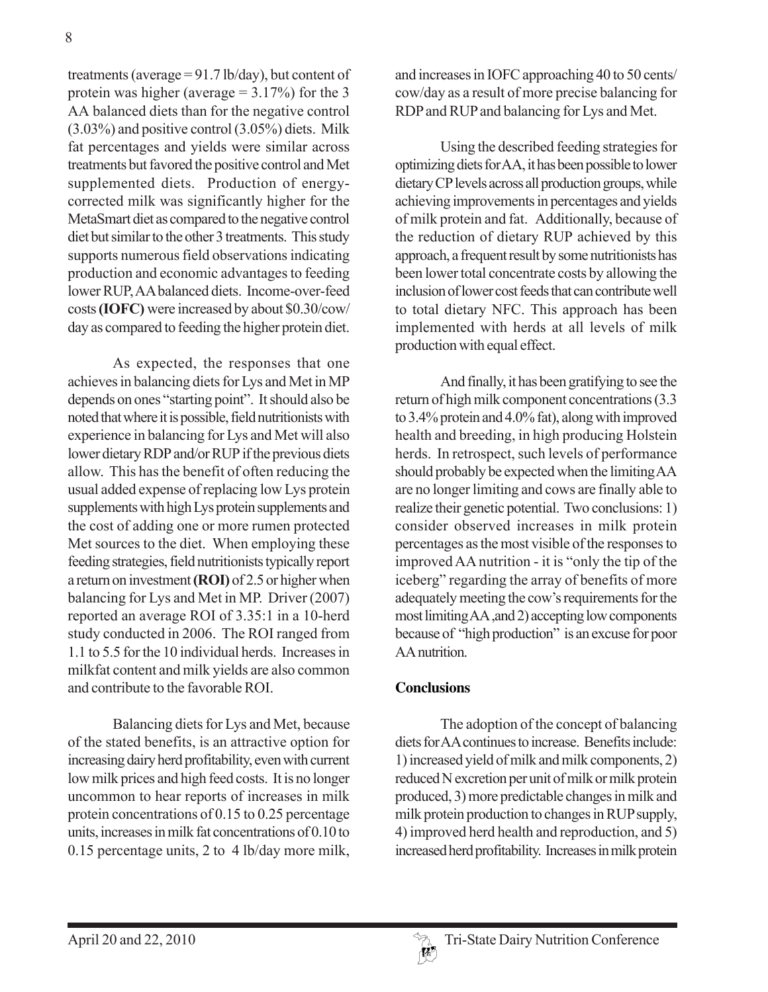treatments (average = 91.7 lb/day), but content of protein was higher (average  $= 3.17\%$ ) for the 3 AA balanced diets than for the negative control (3.03%) and positive control (3.05%) diets. Milk fat percentages and yields were similar across treatments but favored the positive control and Met supplemented diets. Production of energycorrected milk was significantly higher for the MetaSmart diet as compared to the negative control diet but similar to the other 3 treatments. This study supports numerous field observations indicating production and economic advantages to feeding lower RUP, AA balanced diets. Income-over-feed costs **(IOFC)** were increased by about \$0.30/cow/ day as compared to feeding the higher protein diet.

As expected, the responses that one achieves in balancing diets for Lys and Met in MP depends on ones "starting point". It should also be noted that where it is possible, field nutritionists with experience in balancing for Lys and Met will also lower dietary RDP and/or RUP if the previous diets allow. This has the benefit of often reducing the usual added expense of replacing low Lys protein supplements with high Lys protein supplements and the cost of adding one or more rumen protected Met sources to the diet. When employing these feeding strategies, field nutritionists typically report a return on investment **(ROI)** of 2.5 or higher when balancing for Lys and Met in MP. Driver (2007) reported an average ROI of 3.35:1 in a 10-herd study conducted in 2006. The ROI ranged from 1.1 to 5.5 for the 10 individual herds. Increases in milkfat content and milk yields are also common and contribute to the favorable ROI.

Balancing diets for Lys and Met, because of the stated benefits, is an attractive option for increasing dairy herd profitability, even with current low milk prices and high feed costs. It is no longer uncommon to hear reports of increases in milk protein concentrations of 0.15 to 0.25 percentage units, increases in milk fat concentrations of 0.10 to 0.15 percentage units, 2 to 4 lb/day more milk,

and increases in IOFC approaching 40 to 50 cents/ cow/day as a result of more precise balancing for RDP and RUP and balancing for Lys and Met.

Using the described feeding strategies for optimizing diets for AA, it has been possible to lower dietary CP levels across all production groups, while achieving improvements in percentages and yields of milk protein and fat. Additionally, because of the reduction of dietary RUP achieved by this approach, a frequent result by some nutritionists has been lower total concentrate costs by allowing the inclusion of lower cost feeds that can contribute well to total dietary NFC. This approach has been implemented with herds at all levels of milk production with equal effect.

And finally, it has been gratifying to see the return of high milk component concentrations (3.3 to 3.4% protein and 4.0% fat), along with improved health and breeding, in high producing Holstein herds. In retrospect, such levels of performance should probably be expected when the limiting AA are no longer limiting and cows are finally able to realize their genetic potential. Two conclusions: 1) consider observed increases in milk protein percentages as the most visible of the responses to improved AA nutrition - it is "only the tip of the iceberg" regarding the array of benefits of more adequately meeting the cow's requirements for the most limiting AA ,and 2) accepting low components because of "high production" is an excuse for poor AA nutrition.

#### **Conclusions**

The adoption of the concept of balancing diets for AA continues to increase. Benefits include: 1) increased yield of milk and milk components, 2) reduced N excretion per unit of milk or milk protein produced, 3) more predictable changes in milk and milk protein production to changes in RUP supply, 4) improved herd health and reproduction, and 5) increased herd profitability. Increases in milk protein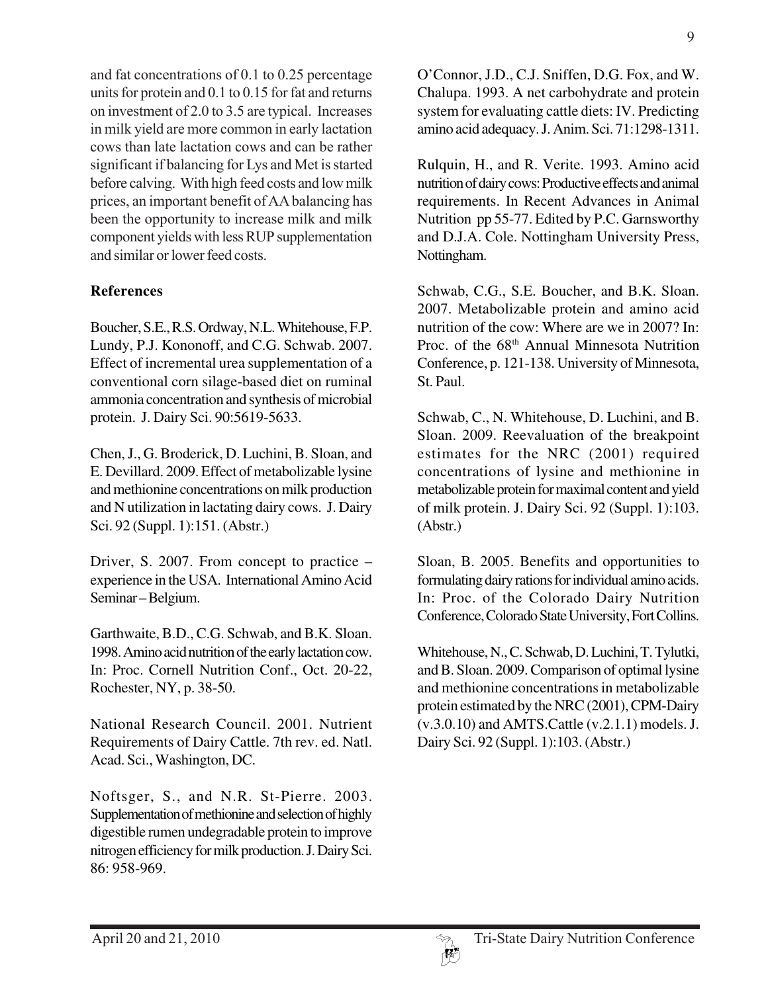and fat concentrations of 0.1 to 0.25 percentage units for protein and 0.1 to 0.15 for fat and returns on investment of 2.0 to 3.5 are typical. Increases in milk yield are more common in early lactation cows than late lactation cows and can be rather significant if balancing for Lys and Met is started before calving. With high feed costs and low milk prices, an important benefit of AA balancing has been the opportunity to increase milk and milk component yields with less RUP supplementation and similar or lower feed costs.

## **References**

Boucher, S.E., R.S. Ordway, N.L. Whitehouse, F.P. Lundy, P.J. Kononoff, and C.G. Schwab. 2007. Effect of incremental urea supplementation of a conventional corn silage-based diet on ruminal ammonia concentration and synthesis of microbial protein. J. Dairy Sci. 90:5619-5633.

Chen, J., G. Broderick, D. Luchini, B. Sloan, and E. Devillard. 2009. Effect of metabolizable lysine and methionine concentrations on milk production and N utilization in lactating dairy cows. J. Dairy Sci. 92 (Suppl. 1):151. (Abstr.)

Driver, S. 2007. From concept to practice – experience in the USA. International Amino Acid Seminar – Belgium.

Garthwaite, B.D., C.G. Schwab, and B.K. Sloan. 1998. Amino acid nutrition of the early lactation cow. In: Proc. Cornell Nutrition Conf., Oct. 20-22, Rochester, NY, p. 38-50.

National Research Council. 2001. Nutrient Requirements of Dairy Cattle. 7th rev. ed. Natl. Acad. Sci., Washington, DC.

Noftsger, S., and N.R. St-Pierre. 2003. Supplementation of methionine and selection of highly digestible rumen undegradable protein to improve nitrogen efficiency for milk production. J. Dairy Sci. 86: 958-969.

O'Connor, J.D., C.J. Sniffen, D.G. Fox, and W. Chalupa. 1993. A net carbohydrate and protein system for evaluating cattle diets: IV. Predicting amino acid adequacy. J. Anim. Sci. 71:1298-1311.

Rulquin, H., and R. Verite. 1993. Amino acid nutrition of dairy cows: Productive effects and animal requirements. In Recent Advances in Animal Nutrition pp 55-77. Edited by P.C. Garnsworthy and D.J.A. Cole. Nottingham University Press, Nottingham.

Schwab, C.G., S.E. Boucher, and B.K. Sloan. 2007. Metabolizable protein and amino acid nutrition of the cow: Where are we in 2007? In: Proc. of the 68<sup>th</sup> Annual Minnesota Nutrition Conference, p. 121-138. University of Minnesota, St. Paul.

Schwab, C., N. Whitehouse, D. Luchini, and B. Sloan. 2009. Reevaluation of the breakpoint estimates for the NRC (2001) required concentrations of lysine and methionine in metabolizable protein for maximal content and yield of milk protein. J. Dairy Sci. 92 (Suppl. 1):103. (Abstr.)

Sloan, B. 2005. Benefits and opportunities to formulating dairy rations for individual amino acids. In: Proc. of the Colorado Dairy Nutrition Conference, Colorado State University, Fort Collins.

Whitehouse, N., C. Schwab, D. Luchini, T. Tylutki, and B. Sloan. 2009. Comparison of optimal lysine and methionine concentrations in metabolizable protein estimated by the NRC (2001), CPM-Dairy  $(v.3.0.10)$  and AMTS. Cattle  $(v.2.1.1)$  models. J. Dairy Sci. 92 (Suppl. 1):103. (Abstr.)

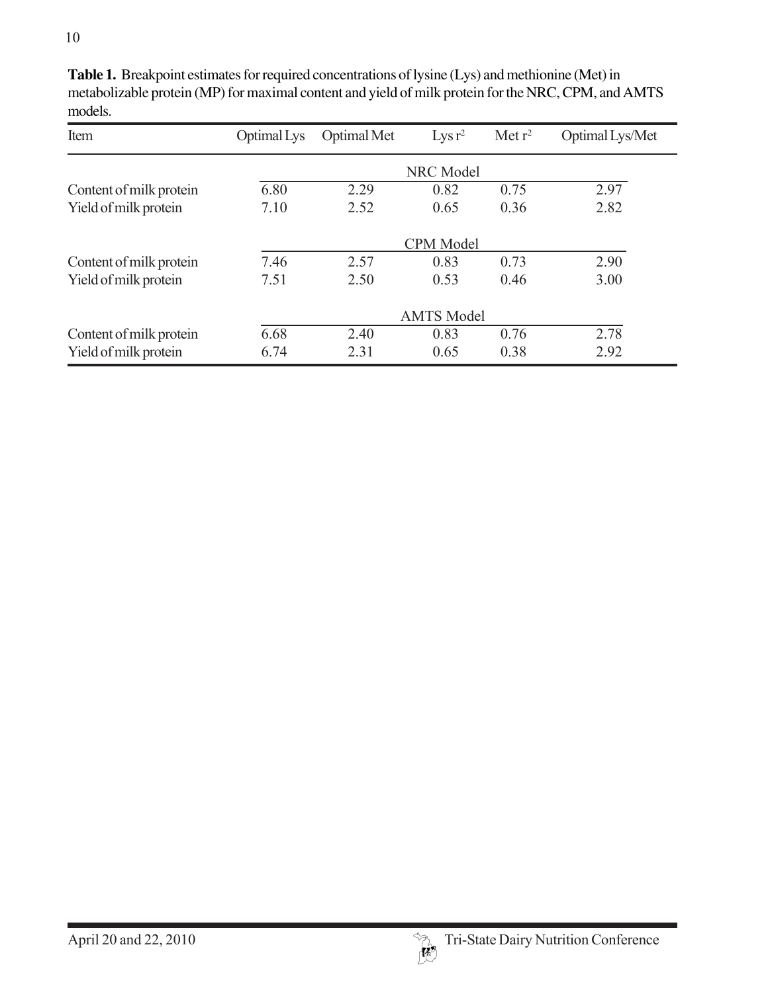| Item                    | Optimal Lys       | Optimal Met | $Lysr^2$ | Met $r^2$ | Optimal Lys/Met |  |
|-------------------------|-------------------|-------------|----------|-----------|-----------------|--|
|                         | <b>NRC</b> Model  |             |          |           |                 |  |
| Content of milk protein | 6.80              | 2.29        | 0.82     | 0.75      | 2.97            |  |
| Yield of milk protein   | 7.10              | 2.52        | 0.65     | 0.36      | 2.82            |  |
|                         | <b>CPM</b> Model  |             |          |           |                 |  |
| Content of milk protein | 7.46              | 2.57        | 0.83     | 0.73      | 2.90            |  |
| Yield of milk protein   | 7.51              | 2.50        | 0.53     | 0.46      | 3.00            |  |
|                         | <b>AMTS Model</b> |             |          |           |                 |  |
| Content of milk protein | 6.68              | 2.40        | 0.83     | 0.76      | 2.78            |  |
| Yield of milk protein   | 6.74              | 2.31        | 0.65     | 0.38      | 2.92            |  |

**Table 1.** Breakpoint estimates for required concentrations of lysine (Lys) and methionine (Met) in metabolizable protein (MP) for maximal content and yield of milk protein for the NRC, CPM, and AMTS models.

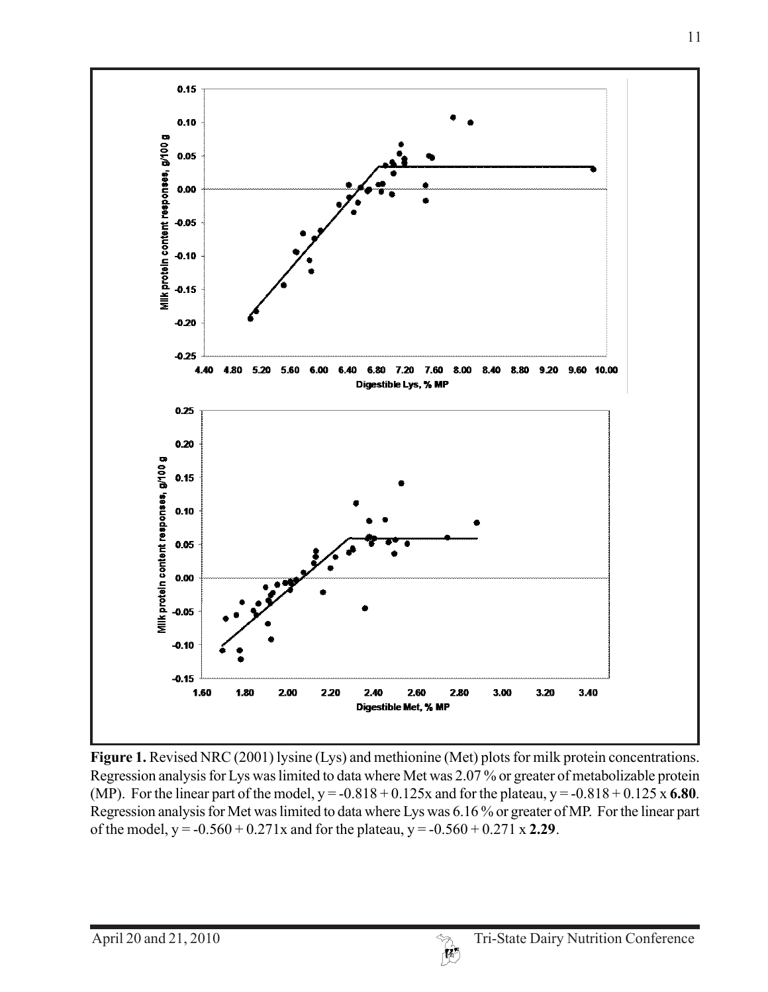

**Figure 1.** Revised NRC (2001) lysine (Lys) and methionine (Met) plots for milk protein concentrations. Regression analysis for Lys was limited to data where Met was 2.07 % or greater of metabolizable protein (MP). For the linear part of the model,  $y = -0.818 + 0.125x$  and for the plateau,  $y = -0.818 + 0.125x$  6.80. Regression analysis for Met was limited to data where Lys was 6.16 % or greater of MP. For the linear part of the model,  $y = -0.560 + 0.271x$  and for the plateau,  $y = -0.560 + 0.271x$  **2.29**.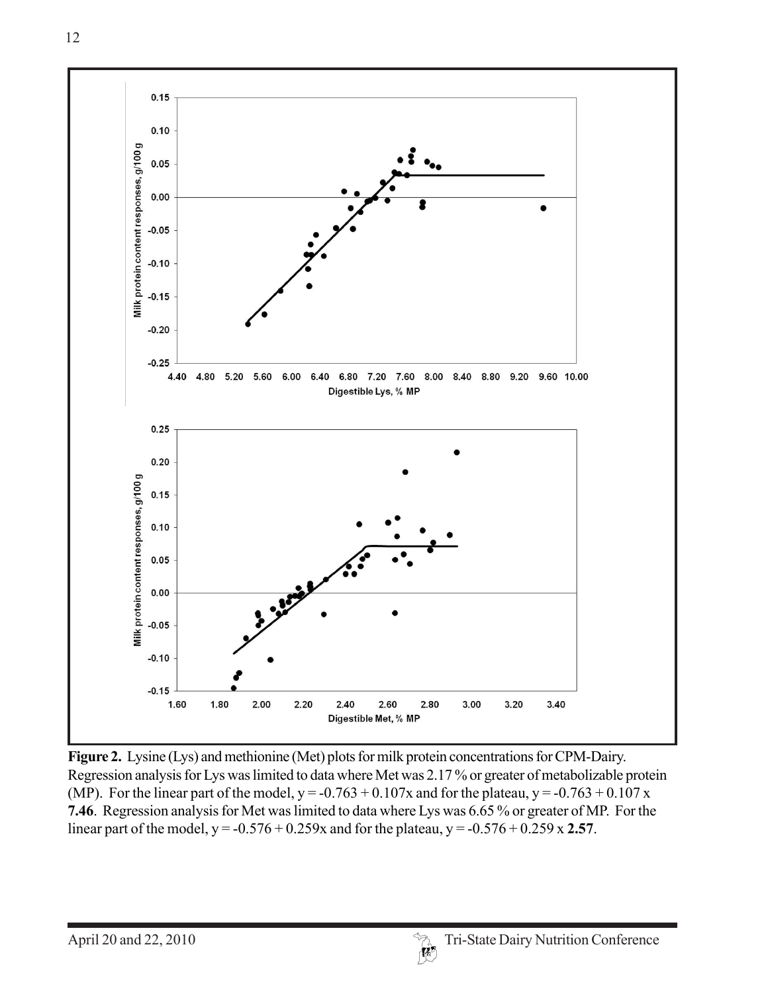

**Figure 2.** Lysine (Lys) and methionine (Met) plots for milk protein concentrations for CPM-Dairy. Regression analysis for Lys was limited to data where Met was 2.17 % or greater of metabolizable protein (MP). For the linear part of the model,  $y = -0.763 + 0.107x$  and for the plateau,  $y = -0.763 + 0.107x$ **7.46**. Regression analysis for Met was limited to data where Lys was 6.65 % or greater of MP. For the linear part of the model,  $y = -0.576 + 0.259x$  and for the plateau,  $y = -0.576 + 0.259x$  **2.57**.